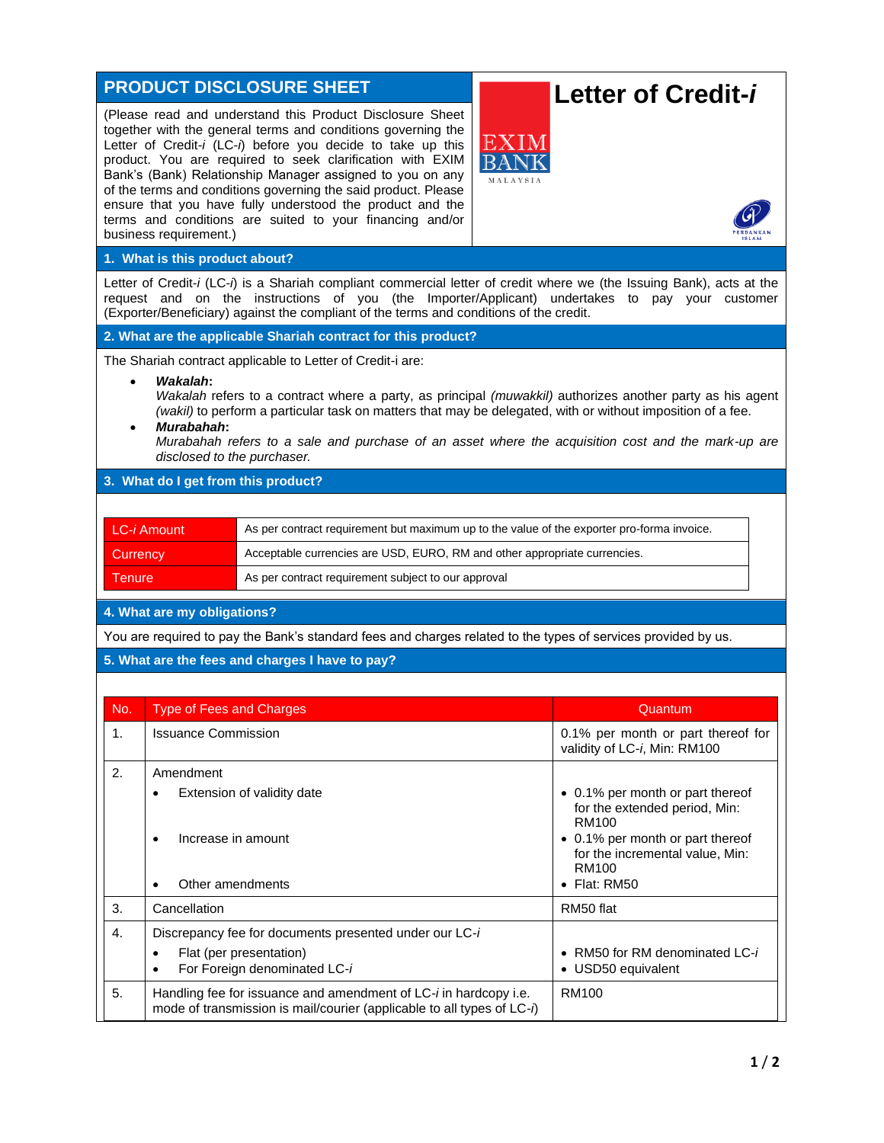| <b>PRODUCT DISCLOSURE SHEET</b>                                                                                                                                                                                                                                                                                                                                                                      |                                                                                                           |                                                                                                                                                                                                                                                                                                                                                                                                                                                                                                                                           | Letter of Credit-i                                                                |  |  |  |
|------------------------------------------------------------------------------------------------------------------------------------------------------------------------------------------------------------------------------------------------------------------------------------------------------------------------------------------------------------------------------------------------------|-----------------------------------------------------------------------------------------------------------|-------------------------------------------------------------------------------------------------------------------------------------------------------------------------------------------------------------------------------------------------------------------------------------------------------------------------------------------------------------------------------------------------------------------------------------------------------------------------------------------------------------------------------------------|-----------------------------------------------------------------------------------|--|--|--|
|                                                                                                                                                                                                                                                                                                                                                                                                      | business requirement.)                                                                                    | (Please read and understand this Product Disclosure Sheet<br>together with the general terms and conditions governing the<br>EXIM<br>Letter of Credit-i (LC-i) before you decide to take up this<br>product. You are required to seek clarification with EXIM<br>BANF<br>Bank's (Bank) Relationship Manager assigned to you on any<br>MALAYSIA<br>of the terms and conditions governing the said product. Please<br>ensure that you have fully understood the product and the<br>terms and conditions are suited to your financing and/or |                                                                                   |  |  |  |
| 1. What is this product about?                                                                                                                                                                                                                                                                                                                                                                       |                                                                                                           |                                                                                                                                                                                                                                                                                                                                                                                                                                                                                                                                           |                                                                                   |  |  |  |
| Letter of Credit-i (LC-i) is a Shariah compliant commercial letter of credit where we (the Issuing Bank), acts at the<br>request and on the instructions of you (the Importer/Applicant) undertakes to pay your customer<br>(Exporter/Beneficiary) against the compliant of the terms and conditions of the credit.                                                                                  |                                                                                                           |                                                                                                                                                                                                                                                                                                                                                                                                                                                                                                                                           |                                                                                   |  |  |  |
| 2. What are the applicable Shariah contract for this product?                                                                                                                                                                                                                                                                                                                                        |                                                                                                           |                                                                                                                                                                                                                                                                                                                                                                                                                                                                                                                                           |                                                                                   |  |  |  |
| The Shariah contract applicable to Letter of Credit-i are:                                                                                                                                                                                                                                                                                                                                           |                                                                                                           |                                                                                                                                                                                                                                                                                                                                                                                                                                                                                                                                           |                                                                                   |  |  |  |
| Wakalah:<br>$\bullet$<br>Wakalah refers to a contract where a party, as principal (muwakkil) authorizes another party as his agent<br>(wakil) to perform a particular task on matters that may be delegated, with or without imposition of a fee.<br>Murabahah:<br>Murabahah refers to a sale and purchase of an asset where the acquisition cost and the mark-up are<br>disclosed to the purchaser. |                                                                                                           |                                                                                                                                                                                                                                                                                                                                                                                                                                                                                                                                           |                                                                                   |  |  |  |
| 3. What do I get from this product?                                                                                                                                                                                                                                                                                                                                                                  |                                                                                                           |                                                                                                                                                                                                                                                                                                                                                                                                                                                                                                                                           |                                                                                   |  |  |  |
|                                                                                                                                                                                                                                                                                                                                                                                                      |                                                                                                           |                                                                                                                                                                                                                                                                                                                                                                                                                                                                                                                                           |                                                                                   |  |  |  |
|                                                                                                                                                                                                                                                                                                                                                                                                      | LC-i Amount<br>As per contract requirement but maximum up to the value of the exporter pro-forma invoice. |                                                                                                                                                                                                                                                                                                                                                                                                                                                                                                                                           |                                                                                   |  |  |  |
|                                                                                                                                                                                                                                                                                                                                                                                                      | Acceptable currencies are USD, EURO, RM and other appropriate currencies.<br>Currency                     |                                                                                                                                                                                                                                                                                                                                                                                                                                                                                                                                           |                                                                                   |  |  |  |
| <b>Tenure</b>                                                                                                                                                                                                                                                                                                                                                                                        |                                                                                                           | As per contract requirement subject to our approval                                                                                                                                                                                                                                                                                                                                                                                                                                                                                       |                                                                                   |  |  |  |
| 4. What are my obligations?                                                                                                                                                                                                                                                                                                                                                                          |                                                                                                           |                                                                                                                                                                                                                                                                                                                                                                                                                                                                                                                                           |                                                                                   |  |  |  |
|                                                                                                                                                                                                                                                                                                                                                                                                      |                                                                                                           | You are required to pay the Bank's standard fees and charges related to the types of services provided by us.                                                                                                                                                                                                                                                                                                                                                                                                                             |                                                                                   |  |  |  |
|                                                                                                                                                                                                                                                                                                                                                                                                      |                                                                                                           | 5. What are the fees and charges I have to pay?                                                                                                                                                                                                                                                                                                                                                                                                                                                                                           |                                                                                   |  |  |  |
|                                                                                                                                                                                                                                                                                                                                                                                                      |                                                                                                           |                                                                                                                                                                                                                                                                                                                                                                                                                                                                                                                                           |                                                                                   |  |  |  |
| No.                                                                                                                                                                                                                                                                                                                                                                                                  | <b>Type of Fees and Charges</b>                                                                           |                                                                                                                                                                                                                                                                                                                                                                                                                                                                                                                                           | Quantum                                                                           |  |  |  |
| 1.                                                                                                                                                                                                                                                                                                                                                                                                   | <b>Issuance Commission</b>                                                                                |                                                                                                                                                                                                                                                                                                                                                                                                                                                                                                                                           | 0.1% per month or part thereof for<br>validity of LC-i, Min: RM100                |  |  |  |
| 2.                                                                                                                                                                                                                                                                                                                                                                                                   | Amendment                                                                                                 |                                                                                                                                                                                                                                                                                                                                                                                                                                                                                                                                           |                                                                                   |  |  |  |
|                                                                                                                                                                                                                                                                                                                                                                                                      |                                                                                                           | Extension of validity date                                                                                                                                                                                                                                                                                                                                                                                                                                                                                                                | • 0.1% per month or part thereof<br>for the extended period, Min:<br><b>RM100</b> |  |  |  |
|                                                                                                                                                                                                                                                                                                                                                                                                      | Increase in amount<br>$\bullet$                                                                           |                                                                                                                                                                                                                                                                                                                                                                                                                                                                                                                                           | • 0.1% per month or part thereof<br>for the incremental value, Min:<br>RM100      |  |  |  |
|                                                                                                                                                                                                                                                                                                                                                                                                      | Other amendments<br>$\bullet$                                                                             |                                                                                                                                                                                                                                                                                                                                                                                                                                                                                                                                           | $\bullet$ Flat: RM50                                                              |  |  |  |
| 3.                                                                                                                                                                                                                                                                                                                                                                                                   | Cancellation                                                                                              |                                                                                                                                                                                                                                                                                                                                                                                                                                                                                                                                           | RM50 flat                                                                         |  |  |  |
| 4.                                                                                                                                                                                                                                                                                                                                                                                                   |                                                                                                           | Discrepancy fee for documents presented under our LC-i                                                                                                                                                                                                                                                                                                                                                                                                                                                                                    |                                                                                   |  |  |  |
|                                                                                                                                                                                                                                                                                                                                                                                                      | $\bullet$<br>$\bullet$                                                                                    | Flat (per presentation)<br>For Foreign denominated LC-i                                                                                                                                                                                                                                                                                                                                                                                                                                                                                   | • RM50 for RM denominated LC-i<br>• USD50 equivalent                              |  |  |  |
| 5.                                                                                                                                                                                                                                                                                                                                                                                                   |                                                                                                           | Handling fee for issuance and amendment of LC-i in hardcopy i.e.<br>mode of transmission is mail/courier (applicable to all types of LC-i)                                                                                                                                                                                                                                                                                                                                                                                                | <b>RM100</b>                                                                      |  |  |  |